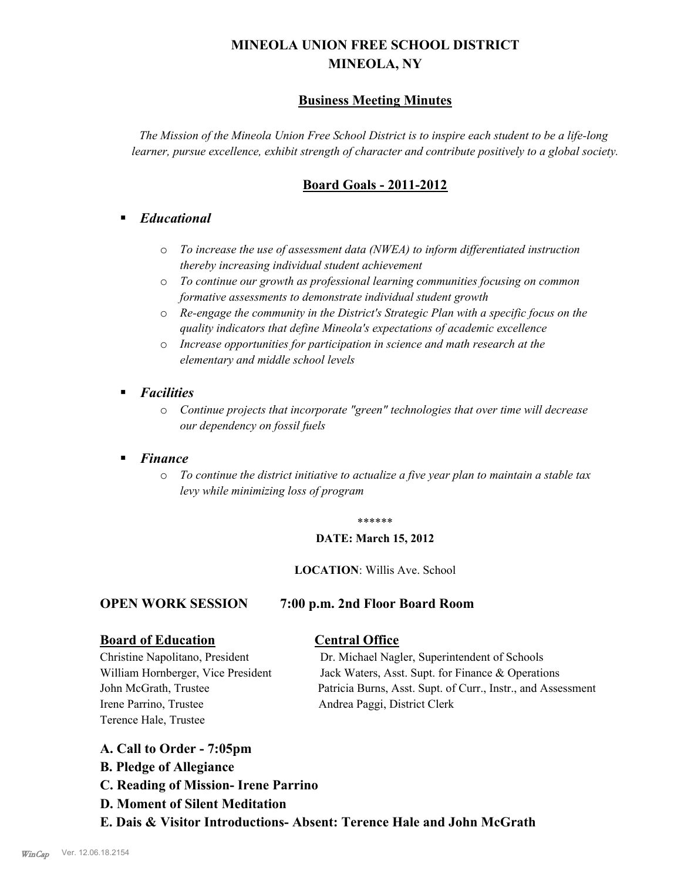# **MINEOLA UNION FREE SCHOOL DISTRICT MINEOLA, NY**

# **Business Meeting Minutes**

*The Mission of the Mineola Union Free School District is to inspire each student to be a life-long learner, pursue excellence, exhibit strength of character and contribute positively to a global society.*

# **Board Goals - 2011-2012**

# § *Educational*

- o *To increase the use of assessment data (NWEA) to inform differentiated instruction thereby increasing individual student achievement*
- o *To continue our growth as professional learning communities focusing on common formative assessments to demonstrate individual student growth*
- o *Re-engage the community in the District's Strategic Plan with a specific focus on the quality indicators that define Mineola's expectations of academic excellence*
- o *Increase opportunities for participation in science and math research at the elementary and middle school levels*
- *Facilities* 
	- o *Continue projects that incorporate "green" technologies that over time will decrease our dependency on fossil fuels*

# § *Finance*

o *To continue the district initiative to actualize a five year plan to maintain a stable tax levy while minimizing loss of program*

#### \*\*\*\*\*\*

#### **DATE: March 15, 2012**

#### **LOCATION**: Willis Ave. School

## **OPEN WORK SESSION 7:00 p.m. 2nd Floor Board Room**

## **Board of Education Central Office**

Irene Parrino, Trustee Andrea Paggi, District Clerk Terence Hale, Trustee

Christine Napolitano, President Dr. Michael Nagler, Superintendent of Schools William Hornberger, Vice President Jack Waters, Asst. Supt. for Finance & Operations John McGrath, Trustee Patricia Burns, Asst. Supt. of Curr., Instr., and Assessment

## **A. Call to Order - 7:05pm**

- **B. Pledge of Allegiance**
- **C. Reading of Mission- Irene Parrino**
- **D. Moment of Silent Meditation**
- **E. Dais & Visitor Introductions- Absent: Terence Hale and John McGrath**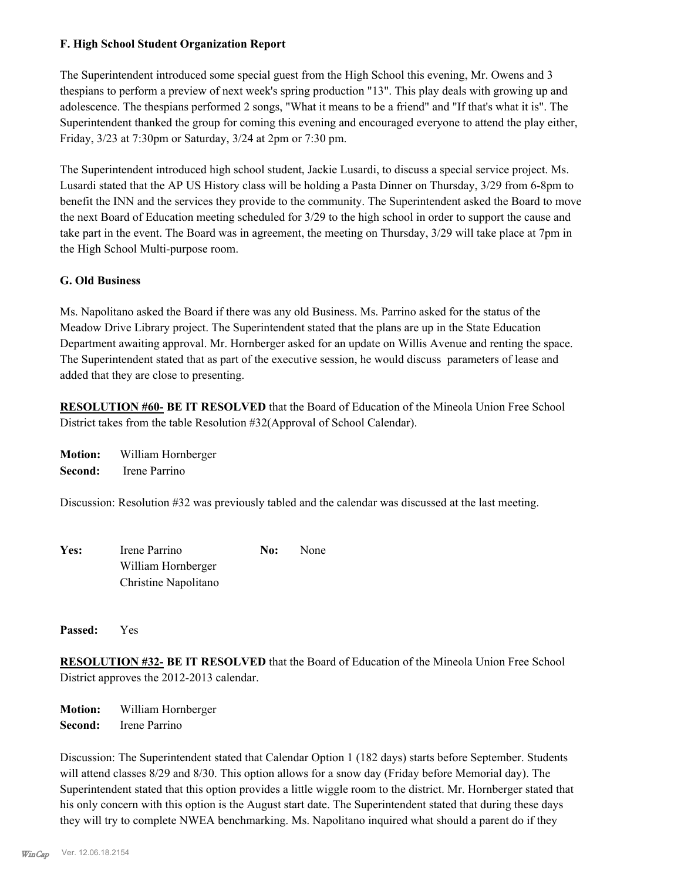#### **F. High School Student Organization Report**

The Superintendent introduced some special guest from the High School this evening, Mr. Owens and 3 thespians to perform a preview of next week's spring production "13". This play deals with growing up and adolescence. The thespians performed 2 songs, "What it means to be a friend" and "If that's what it is". The Superintendent thanked the group for coming this evening and encouraged everyone to attend the play either, Friday, 3/23 at 7:30pm or Saturday, 3/24 at 2pm or 7:30 pm.

The Superintendent introduced high school student, Jackie Lusardi, to discuss a special service project. Ms. Lusardi stated that the AP US History class will be holding a Pasta Dinner on Thursday, 3/29 from 6-8pm to benefit the INN and the services they provide to the community. The Superintendent asked the Board to move the next Board of Education meeting scheduled for 3/29 to the high school in order to support the cause and take part in the event. The Board was in agreement, the meeting on Thursday, 3/29 will take place at 7pm in the High School Multi-purpose room.

#### **G. Old Business**

Ms. Napolitano asked the Board if there was any old Business. Ms. Parrino asked for the status of the Meadow Drive Library project. The Superintendent stated that the plans are up in the State Education Department awaiting approval. Mr. Hornberger asked for an update on Willis Avenue and renting the space. The Superintendent stated that as part of the executive session, he would discuss parameters of lease and added that they are close to presenting.

**RESOLUTION #60- BE IT RESOLVED** that the Board of Education of the Mineola Union Free School District takes from the table Resolution #32(Approval of School Calendar).

**Motion:** William Hornberger **Second:** Irene Parrino

Discussion: Resolution #32 was previously tabled and the calendar was discussed at the last meeting.

| Yes: | Irene Parrino        | No: | None |  |
|------|----------------------|-----|------|--|
|      | William Hornberger   |     |      |  |
|      | Christine Napolitano |     |      |  |

**Passed:** Yes

**RESOLUTION #32- BE IT RESOLVED** that the Board of Education of the Mineola Union Free School District approves the 2012-2013 calendar.

**Motion:** William Hornberger **Second:** Irene Parrino

Discussion: The Superintendent stated that Calendar Option 1 (182 days) starts before September. Students will attend classes 8/29 and 8/30. This option allows for a snow day (Friday before Memorial day). The Superintendent stated that this option provides a little wiggle room to the district. Mr. Hornberger stated that his only concern with this option is the August start date. The Superintendent stated that during these days they will try to complete NWEA benchmarking. Ms. Napolitano inquired what should a parent do if they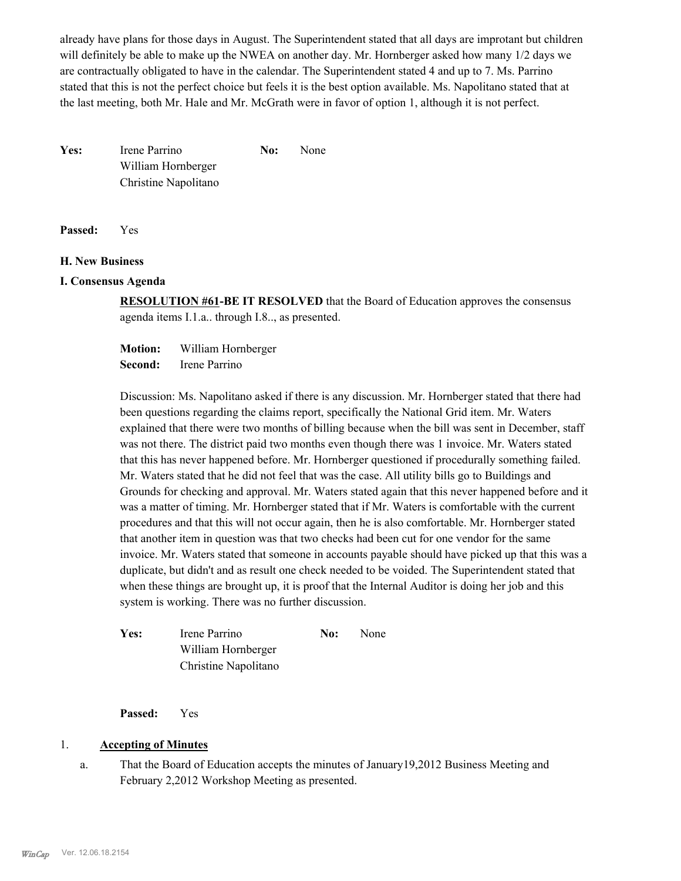already have plans for those days in August. The Superintendent stated that all days are improtant but children will definitely be able to make up the NWEA on another day. Mr. Hornberger asked how many 1/2 days we are contractually obligated to have in the calendar. The Superintendent stated 4 and up to 7. Ms. Parrino stated that this is not the perfect choice but feels it is the best option available. Ms. Napolitano stated that at the last meeting, both Mr. Hale and Mr. McGrath were in favor of option 1, although it is not perfect.

Yes: Irene Parrino **No:** None William Hornberger Christine Napolitano

**Passed:** Yes

#### **H. New Business**

#### **I. Consensus Agenda**

**RESOLUTION #61-BE IT RESOLVED** that the Board of Education approves the consensus agenda items I.1.a.. through I.8.., as presented.

**Motion:** William Hornberger **Second:** Irene Parrino

Discussion: Ms. Napolitano asked if there is any discussion. Mr. Hornberger stated that there had been questions regarding the claims report, specifically the National Grid item. Mr. Waters explained that there were two months of billing because when the bill was sent in December, staff was not there. The district paid two months even though there was 1 invoice. Mr. Waters stated that this has never happened before. Mr. Hornberger questioned if procedurally something failed. Mr. Waters stated that he did not feel that was the case. All utility bills go to Buildings and Grounds for checking and approval. Mr. Waters stated again that this never happened before and it was a matter of timing. Mr. Hornberger stated that if Mr. Waters is comfortable with the current procedures and that this will not occur again, then he is also comfortable. Mr. Hornberger stated that another item in question was that two checks had been cut for one vendor for the same invoice. Mr. Waters stated that someone in accounts payable should have picked up that this was a duplicate, but didn't and as result one check needed to be voided. The Superintendent stated that when these things are brought up, it is proof that the Internal Auditor is doing her job and this system is working. There was no further discussion.

| Yes: | Irene Parrino        | No: | <b>None</b> |
|------|----------------------|-----|-------------|
|      | William Hornberger   |     |             |
|      | Christine Napolitano |     |             |

**Passed:** Yes

## 1. **Accepting of Minutes**

That the Board of Education accepts the minutes of January19,2012 Business Meeting and February 2,2012 Workshop Meeting as presented. a.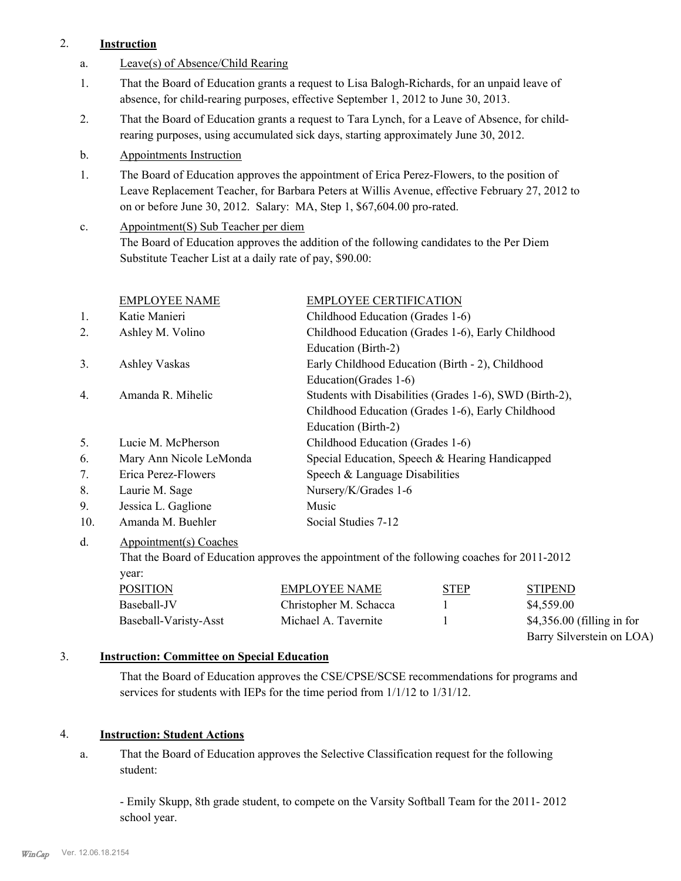# 2. **Instruction**

- a. Leave(s) of Absence/Child Rearing
- That the Board of Education grants a request to Lisa Balogh-Richards, for an unpaid leave of absence, for child-rearing purposes, effective September 1, 2012 to June 30, 2013. 1.
- That the Board of Education grants a request to Tara Lynch, for a Leave of Absence, for childrearing purposes, using accumulated sick days, starting approximately June 30, 2012. 2.
- b. Appointments Instruction
- The Board of Education approves the appointment of Erica Perez-Flowers, to the position of Leave Replacement Teacher, for Barbara Peters at Willis Avenue, effective February 27, 2012 to on or before June 30, 2012. Salary: MA, Step 1, \$67,604.00 pro-rated. 1.
- Appointment(S) Sub Teacher per diem The Board of Education approves the addition of the following candidates to the Per Diem Substitute Teacher List at a daily rate of pay, \$90.00: c.

|     | <b>EMPLOYEE NAME</b>    | <b>EMPLOYEE CERTIFICATION</b>                           |
|-----|-------------------------|---------------------------------------------------------|
| 1.  | Katie Manieri           | Childhood Education (Grades 1-6)                        |
| 2.  | Ashley M. Volino        | Childhood Education (Grades 1-6), Early Childhood       |
|     |                         | Education (Birth-2)                                     |
| 3.  | Ashley Vaskas           | Early Childhood Education (Birth - 2), Childhood        |
|     |                         | Education (Grades 1-6)                                  |
| 4.  | Amanda R. Mihelic       | Students with Disabilities (Grades 1-6), SWD (Birth-2), |
|     |                         | Childhood Education (Grades 1-6), Early Childhood       |
|     |                         | Education (Birth-2)                                     |
| 5.  | Lucie M. McPherson      | Childhood Education (Grades 1-6)                        |
| 6.  | Mary Ann Nicole LeMonda | Special Education, Speech & Hearing Handicapped         |
| 7.  | Erica Perez-Flowers     | Speech & Language Disabilities                          |
| 8.  | Laurie M. Sage          | Nursery/K/Grades 1-6                                    |
| 9.  | Jessica L. Gaglione     | Music                                                   |
| 10. | Amanda M. Buehler       | Social Studies 7-12                                     |
| d.  | Appointment(s) Coaches  |                                                         |

That the Board of Education approves the appointment of the following coaches for 2011-2012 year:

| <b>POSITION</b>       | <b>EMPLOYEE NAME</b>   | <b>STEP</b> | <b>STIPEND</b>              |
|-----------------------|------------------------|-------------|-----------------------------|
| Baseball-JV           | Christopher M. Schacca |             | \$4,559.00                  |
| Baseball-Varisty-Asst | Michael A. Tavernite   |             | $$4,356.00$ (filling in for |
|                       |                        |             | Barry Silverstein on LOA)   |

## 3. **Instruction: Committee on Special Education**

That the Board of Education approves the CSE/CPSE/SCSE recommendations for programs and services for students with IEPs for the time period from 1/1/12 to 1/31/12.

## 4. **Instruction: Student Actions**

That the Board of Education approves the Selective Classification request for the following student: a.

- Emily Skupp, 8th grade student, to compete on the Varsity Softball Team for the 2011- 2012 school year.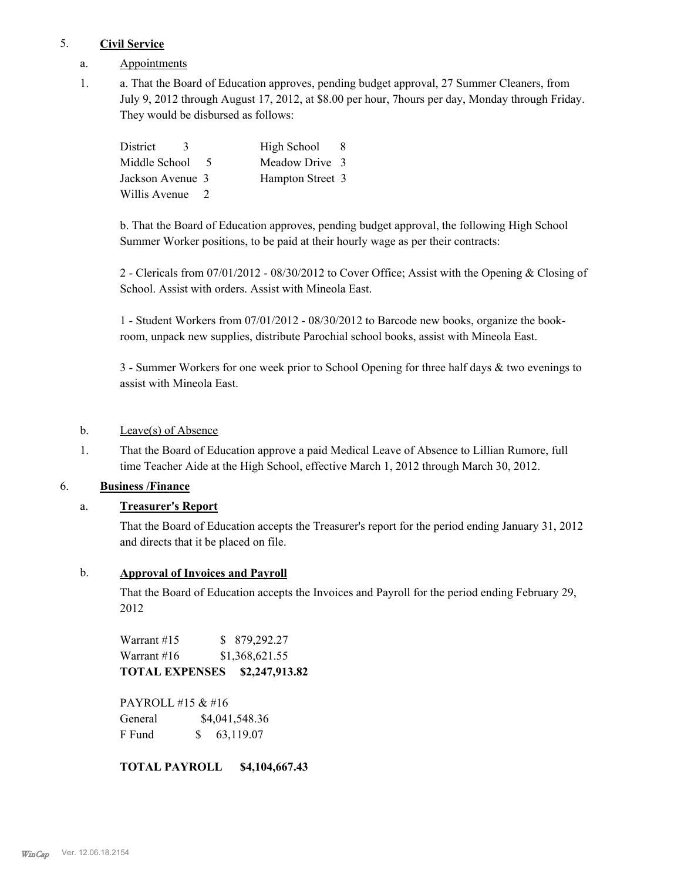## 5. **Civil Service**

- a. Appointments
- a. That the Board of Education approves, pending budget approval, 27 Summer Cleaners, from July 9, 2012 through August 17, 2012, at \$8.00 per hour, 7hours per day, Monday through Friday. They would be disbursed as follows: 1.

| District<br>$\mathcal{L}$ |                | High School      | -8 |
|---------------------------|----------------|------------------|----|
| Middle School             | -5             | Meadow Drive 3   |    |
| Jackson Avenue 3          |                | Hampton Street 3 |    |
| Willis Avenue             | $\overline{2}$ |                  |    |

b. That the Board of Education approves, pending budget approval, the following High School Summer Worker positions, to be paid at their hourly wage as per their contracts:

2 - Clericals from 07/01/2012 - 08/30/2012 to Cover Office; Assist with the Opening & Closing of School. Assist with orders. Assist with Mineola East.

1 - Student Workers from 07/01/2012 - 08/30/2012 to Barcode new books, organize the bookroom, unpack new supplies, distribute Parochial school books, assist with Mineola East.

3 - Summer Workers for one week prior to School Opening for three half days & two evenings to assist with Mineola East.

# b. Leave(s) of Absence

That the Board of Education approve a paid Medical Leave of Absence to Lillian Rumore, full time Teacher Aide at the High School, effective March 1, 2012 through March 30, 2012. 1.

## 6. **Business /Finance**

# a. **Treasurer's Report**

That the Board of Education accepts the Treasurer's report for the period ending January 31, 2012 and directs that it be placed on file.

## b. **Approval of Invoices and Payroll**

That the Board of Education accepts the Invoices and Payroll for the period ending February 29, 2012

Warrant #15 \$ 879,292.27 Warrant #16 \$1,368,621.55 **TOTAL EXPENSES \$2,247,913.82** 

PAYROLL #15 & #16 General  $$4,041,548.36$ F Fund \$ 63,119.07

**TOTAL PAYROLL \$4,104,667.43**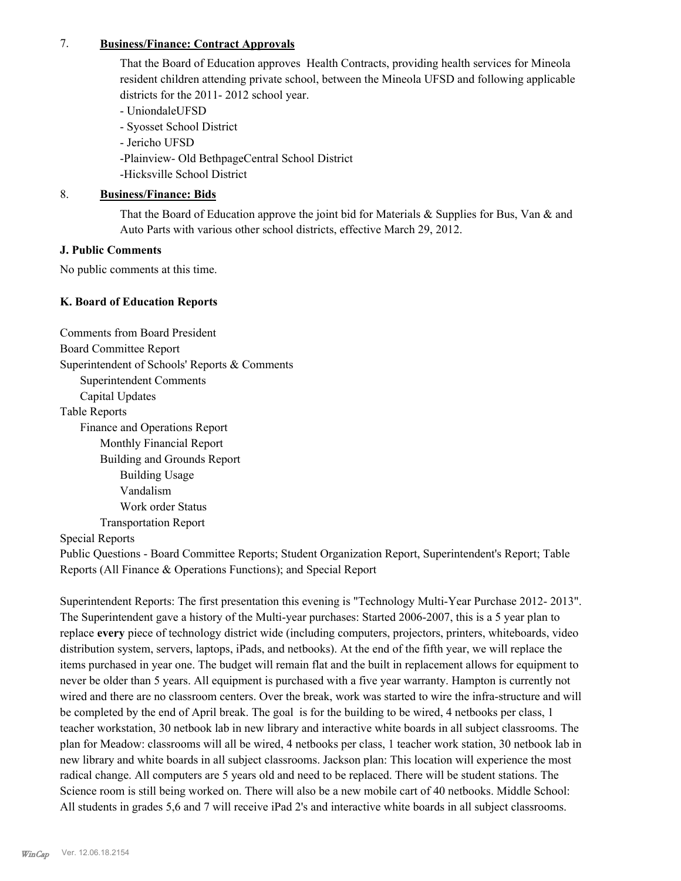#### 7. **Business/Finance: Contract Approvals**

That the Board of Education approves Health Contracts, providing health services for Mineola resident children attending private school, between the Mineola UFSD and following applicable districts for the 2011- 2012 school year.

- UniondaleUFSD

- Syosset School District

- Jericho UFSD

-Plainview- Old BethpageCentral School District

-Hicksville School District

# 8. **Business/Finance: Bids**

That the Board of Education approve the joint bid for Materials & Supplies for Bus, Van & and Auto Parts with various other school districts, effective March 29, 2012.

# **J. Public Comments**

No public comments at this time.

# **K. Board of Education Reports**

Comments from Board President Board Committee Report Superintendent of Schools' Reports & Comments Superintendent Comments Capital Updates Table Reports Finance and Operations Report Monthly Financial Report Building and Grounds Report Building Usage Vandalism Work order Status Transportation Report Special Reports

Public Questions - Board Committee Reports; Student Organization Report, Superintendent's Report; Table Reports (All Finance & Operations Functions); and Special Report

Superintendent Reports: The first presentation this evening is "Technology Multi-Year Purchase 2012- 2013". The Superintendent gave a history of the Multi-year purchases: Started 2006-2007, this is a 5 year plan to replace **every** piece of technology district wide (including computers, projectors, printers, whiteboards, video distribution system, servers, laptops, iPads, and netbooks). At the end of the fifth year, we will replace the items purchased in year one. The budget will remain flat and the built in replacement allows for equipment to never be older than 5 years. All equipment is purchased with a five year warranty. Hampton is currently not wired and there are no classroom centers. Over the break, work was started to wire the infra-structure and will be completed by the end of April break. The goal is for the building to be wired, 4 netbooks per class, 1 teacher workstation, 30 netbook lab in new library and interactive white boards in all subject classrooms. The plan for Meadow: classrooms will all be wired, 4 netbooks per class, 1 teacher work station, 30 netbook lab in new library and white boards in all subject classrooms. Jackson plan: This location will experience the most radical change. All computers are 5 years old and need to be replaced. There will be student stations. The Science room is still being worked on. There will also be a new mobile cart of 40 netbooks. Middle School: All students in grades 5,6 and 7 will receive iPad 2's and interactive white boards in all subject classrooms.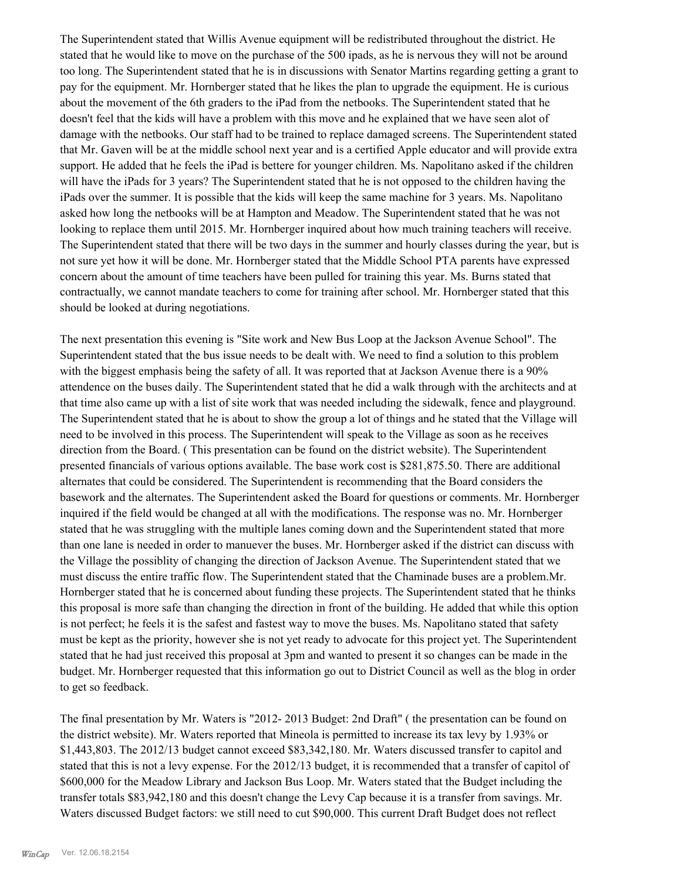The Superintendent stated that Willis Avenue equipment will be redistributed throughout the district. He stated that he would like to move on the purchase of the 500 ipads, as he is nervous they will not be around too long. The Superintendent stated that he is in discussions with Senator Martins regarding getting a grant to pay for the equipment. Mr. Hornberger stated that he likes the plan to upgrade the equipment. He is curious about the movement of the 6th graders to the iPad from the netbooks. The Superintendent stated that he doesn't feel that the kids will have a problem with this move and he explained that we have seen alot of damage with the netbooks. Our staff had to be trained to replace damaged screens. The Superintendent stated that Mr. Gaven will be at the middle school next year and is a certified Apple educator and will provide extra support. He added that he feels the iPad is bettere for younger children. Ms. Napolitano asked if the children will have the iPads for 3 years? The Superintendent stated that he is not opposed to the children having the iPads over the summer. It is possible that the kids will keep the same machine for 3 years. Ms. Napolitano asked how long the netbooks will be at Hampton and Meadow. The Superintendent stated that he was not looking to replace them until 2015. Mr. Hornberger inquired about how much training teachers will receive. The Superintendent stated that there will be two days in the summer and hourly classes during the year, but is not sure yet how it will be done. Mr. Hornberger stated that the Middle School PTA parents have expressed concern about the amount of time teachers have been pulled for training this year. Ms. Burns stated that contractually, we cannot mandate teachers to come for training after school. Mr. Hornberger stated that this should be looked at during negotiations.

The next presentation this evening is "Site work and New Bus Loop at the Jackson Avenue School". The Superintendent stated that the bus issue needs to be dealt with. We need to find a solution to this problem with the biggest emphasis being the safety of all. It was reported that at Jackson Avenue there is a 90% attendence on the buses daily. The Superintendent stated that he did a walk through with the architects and at that time also came up with a list of site work that was needed including the sidewalk, fence and playground. The Superintendent stated that he is about to show the group a lot of things and he stated that the Village will need to be involved in this process. The Superintendent will speak to the Village as soon as he receives direction from the Board. ( This presentation can be found on the district website). The Superintendent presented financials of various options available. The base work cost is \$281,875.50. There are additional alternates that could be considered. The Superintendent is recommending that the Board considers the basework and the alternates. The Superintendent asked the Board for questions or comments. Mr. Hornberger inquired if the field would be changed at all with the modifications. The response was no. Mr. Hornberger stated that he was struggling with the multiple lanes coming down and the Superintendent stated that more than one lane is needed in order to manuever the buses. Mr. Hornberger asked if the district can discuss with the Village the possiblity of changing the direction of Jackson Avenue. The Superintendent stated that we must discuss the entire traffic flow. The Superintendent stated that the Chaminade buses are a problem.Mr. Hornberger stated that he is concerned about funding these projects. The Superintendent stated that he thinks this proposal is more safe than changing the direction in front of the building. He added that while this option is not perfect; he feels it is the safest and fastest way to move the buses. Ms. Napolitano stated that safety must be kept as the priority, however she is not yet ready to advocate for this project yet. The Superintendent stated that he had just received this proposal at 3pm and wanted to present it so changes can be made in the budget. Mr. Hornberger requested that this information go out to District Council as well as the blog in order to get so feedback.

The final presentation by Mr. Waters is "2012- 2013 Budget: 2nd Draft" ( the presentation can be found on the district website). Mr. Waters reported that Mineola is permitted to increase its tax levy by 1.93% or \$1,443,803. The 2012/13 budget cannot exceed \$83,342,180. Mr. Waters discussed transfer to capitol and stated that this is not a levy expense. For the 2012/13 budget, it is recommended that a transfer of capitol of \$600,000 for the Meadow Library and Jackson Bus Loop. Mr. Waters stated that the Budget including the transfer totals \$83,942,180 and this doesn't change the Levy Cap because it is a transfer from savings. Mr. Waters discussed Budget factors: we still need to cut \$90,000. This current Draft Budget does not reflect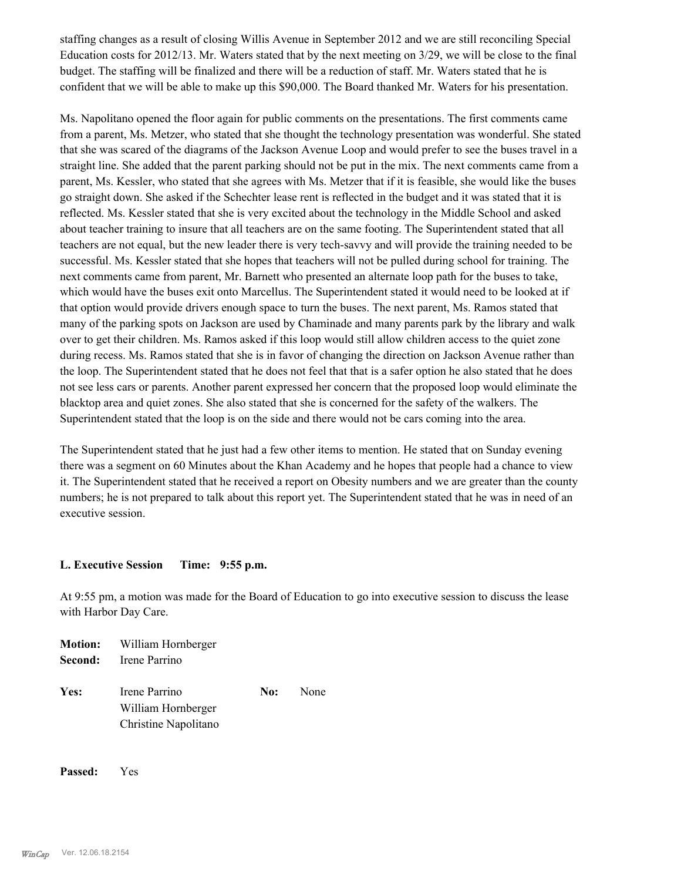staffing changes as a result of closing Willis Avenue in September 2012 and we are still reconciling Special Education costs for 2012/13. Mr. Waters stated that by the next meeting on 3/29, we will be close to the final budget. The staffing will be finalized and there will be a reduction of staff. Mr. Waters stated that he is confident that we will be able to make up this \$90,000. The Board thanked Mr. Waters for his presentation.

Ms. Napolitano opened the floor again for public comments on the presentations. The first comments came from a parent, Ms. Metzer, who stated that she thought the technology presentation was wonderful. She stated that she was scared of the diagrams of the Jackson Avenue Loop and would prefer to see the buses travel in a straight line. She added that the parent parking should not be put in the mix. The next comments came from a parent, Ms. Kessler, who stated that she agrees with Ms. Metzer that if it is feasible, she would like the buses go straight down. She asked if the Schechter lease rent is reflected in the budget and it was stated that it is reflected. Ms. Kessler stated that she is very excited about the technology in the Middle School and asked about teacher training to insure that all teachers are on the same footing. The Superintendent stated that all teachers are not equal, but the new leader there is very tech-savvy and will provide the training needed to be successful. Ms. Kessler stated that she hopes that teachers will not be pulled during school for training. The next comments came from parent, Mr. Barnett who presented an alternate loop path for the buses to take, which would have the buses exit onto Marcellus. The Superintendent stated it would need to be looked at if that option would provide drivers enough space to turn the buses. The next parent, Ms. Ramos stated that many of the parking spots on Jackson are used by Chaminade and many parents park by the library and walk over to get their children. Ms. Ramos asked if this loop would still allow children access to the quiet zone during recess. Ms. Ramos stated that she is in favor of changing the direction on Jackson Avenue rather than the loop. The Superintendent stated that he does not feel that that is a safer option he also stated that he does not see less cars or parents. Another parent expressed her concern that the proposed loop would eliminate the blacktop area and quiet zones. She also stated that she is concerned for the safety of the walkers. The Superintendent stated that the loop is on the side and there would not be cars coming into the area.

The Superintendent stated that he just had a few other items to mention. He stated that on Sunday evening there was a segment on 60 Minutes about the Khan Academy and he hopes that people had a chance to view it. The Superintendent stated that he received a report on Obesity numbers and we are greater than the county numbers; he is not prepared to talk about this report yet. The Superintendent stated that he was in need of an executive session.

#### **L. Executive Session Time: 9:55 p.m.**

At 9:55 pm, a motion was made for the Board of Education to go into executive session to discuss the lease with Harbor Day Care.

**Motion:** William Hornberger **Second:** Irene Parrino Yes: Irene Parrino **No:** None William Hornberger Christine Napolitano

**Passed:** Yes